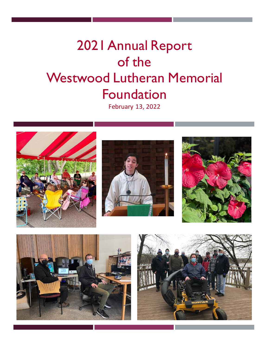# 2021 Annual Report of the Westwood Lutheran Memorial Foundation

February 13, 2022









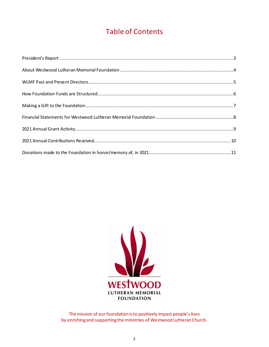# Table of Contents



The mission of our foundation is to positively impact people's lives by enriching and supporting the ministries of Westwood Lutheran Church.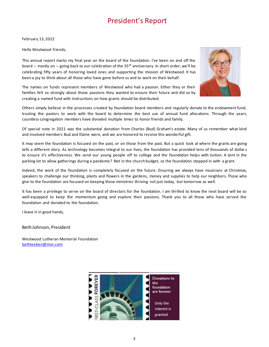# President's Report

February 13, 2022

Hello Westwood friends,

This annual report marks my final year on the board of the foundation. I've been on and off the board – mostly on – going back to our celebration of the  $35<sup>th</sup>$  anniversary. In short order, we'll be celebrating fifty years of honoring loved ones and supporting the mission of Westwood. It has been a joy to think about all those who have gone before us and to work on their behalf.



The names on funds represent members of Westwood who had a passion. Either they or their families felt so strongly about those passions they wanted to ensure their future and did so by creating a named fund with instructions on how grants should be distributed.

Others simply believe in the processes created by foundation board members and regularly donate to the endowment fund, trusting the pastors to work with the board to determine the best use of annual fund allocations. Through the years, countless congregation members have donated multiple times to honor friends and family.

Of special note in 2021 was the substantial donation from Charles (Bud) Graham's estate. Many of us remember what kind and involved members Bud and Elaine were, and we are honored to receive this wonderful gift.

It may seem the foundation is focused on the past, or on those from the past. But a quick look at where the grants are going tells a different story. As technology becomes integral to our lives, the foundation has provided tens of thousands of dollars to ensure it's effectiveness. We send our young people off to college and the foundation helps with tuition. A tent in the parking lot to allow gatherings during a pandemic? Not in the church budget, so the foundation stepped in with a grant.

Indeed, the work of the foundation is completely focused on the future. Ensuring we always have musicians at Christmas, speakers to challenge our thinking, plants and flowers in the gardens, money and supplies to help our neighbors. Those who give to the foundation are focused on keeping those ministries thriving not just today, but tomorrow as well.

It has been a privilege to serve on the board of directors for the foundation. I am thrilled to know the next board will be so well-equipped to keep the momentum going and explore their passions. Thank you to all those who have served the foundation and donated to the foundation.

I leave it in good hands,

Beth Johnson, President

Westwood Lutheran Memorial Foundation [bethleeben@msn.com](mailto:bethleeben@msn.com)

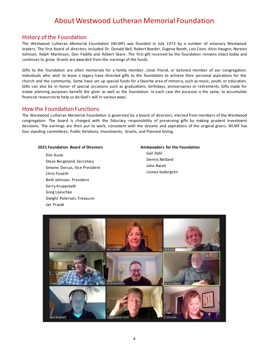# About Westwood Lutheran Memorial Foundation

### History of the Foundation

The Westwood Lutheran Memorial Foundation (WLMF) was founded in July 1973 by a number of visionary Westwood leaders. The first board of directors included Dr. Donald Bell, Robert Boeder, Eugene Booth, Lois Coon, Alvin Haugen, Noreen Johnson, Ralph Martinson, Don Padilla and Robert Skare. The first gift received by the foundation remains intact today and continues to grow. Grants are awarded from the earnings of the funds.

Gifts to the foundation are often memorials for a family member, close friend, or beloved member of our congregation. Individuals who wish to leave a legacy have directed gifts to the foundation to achieve their personal aspirations for the church and the community. Some have set up special funds for a favorite area of ministry, such as music, youth, or education. Gifts can also be in honor of special occasions such as graduations, birthdays, anniversaries or retirements. Gifts made for estate planning purposes benefit the giver as well as the foundation. In each case the purpose is the same; to accumulate financial resources to help us do God's will in various ways.

### How the Foundation Functions

The Westwood Lutheran Memorial Foundation is governed by a board of directors, elected from members of the Westwood congregation. The board is charged with the fiduciary responsibility of preserving gifts by making prudent investment decisions. The earnings are then put to work, consistent with the dreams and aspirations of the original givers. WLMF has four standing committees: Public Relations, Investments, Grants, and Planned Giving.

### **2021 Foundation Board of Directors**

Kim Aune Steve Bergeland, Secretary Simone Dorcas, Vice President Chris Finseth Beth Johnson, President Kerry Kruppstadt Greg Loeschke Dwight Peterson, Treasurer Jan Prazak

**Ambassadors for the Foundation** Gail Dahl Dennis Netland John Racek Linnea Sodergren

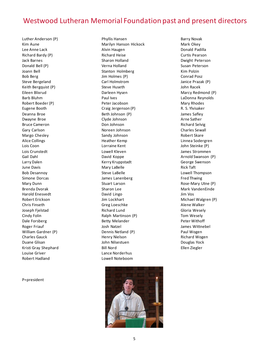# Westwood Lutheran Memorial Foundation past and present directors

Luther Anderson (P) Kim Aune Lee Anne Lack Richard Bardy (P) Jack Barnes Donald Bell (P) Joann Bell Bob Berg Steve Bergeland Keith Bergquist (P) Eileen Blixrud Barb Bluhm Robert Boeder (P) Eugene Booth Deanna Broe Dwayne Broe Bruce Cameron Gary Carlson Margo Chesley Alice Collings Lois Coon Lois Crunstedt Gail Dahl Larry Dalen June Davis Bob Desannoy Simone Dorcas Mary Dunn Brenda Dvorak Harold Enesvedt Robert Erickson Chris Finseth Joseph Fjelstad Cindy Folin Dale Forsberg Roger Friauf William Gardner (P) Charles Gauck Duane Glisan Kristi Gray Shephard Louise Griver Robert Hadland

P=president

Phyllis Hansen Marilyn Hanson Hickock Alvin Haugen Richard Heise Sharon Holland Verna Holland Stanton Holmberg Jim Holmes (P) Carl Holmstrom Steve Huseth Darleen Hysen Paul Ives Peter Jacobson Craig Jergenson (P) Beth Johnson (P) Clyde Johnson Don Johnson Noreen Johnson Sandy Johnson Heather Kemp Lorraine Kent Lowell Kleven David Koppe Kerry Kruppstadt Mary LaBelle Steve LaBelle James Lanenberg Stuart Larson Sharon Lee David Lingo Jim Lockhart Greg Loeschke Richard Lund Ralph Martinson (P) Betty Melander Josh Natzel Dennis Netland (P) Henry Nielson John Nilsestuen Bill Nord Lance Norderhus Lowell Noteboom



Barry Novak Mark Okey Donald Padilla Curtis Pearson Dwight Peterson Susan Peterson Kim Polzin Conrad Posz Janice Prazak (P) John Racek Marcy Redmond (P) LaDonna Reynolds Mary Rhodes R. S. Ylvisaker James Safley Arne Sather Richard Selvig Charles Sewall Robert Skare Linnea Sodergren John Steinke (P) James Strommen Arnold Swanson (P) George Swenson Rick Taft Lowell Thompson Fred Thwing Rose-Mary Utne (P) Mark VandenEinde Jim Vos Michael Walgren (P) Alene Walker Gloria Wesely Tom Wesely Peter Withoff James Wittnebel Paul Wogen Richard Wogen Douglas Yock Ellen Ziegler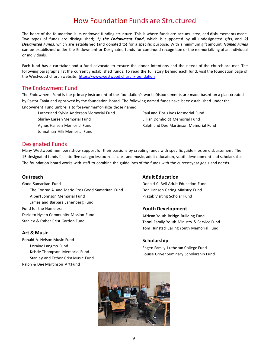# How Foundation Funds are Structured

The heart of the foundation is its endowed funding structure. This is where funds are accumulated, and disbursements made. Two types of funds are distinguished; *1) the Endowment Fund*, which is supported by all undesignated gifts, and *2) Designated Funds*, which are established (and donated to) for a specific purpose. With a minimum gift amount, *Named Funds* can be established under the Endowment or Designated funds for continued recognition or the memorializing of an individual or individuals.

Each fund has a caretaker and a fund advocate to ensure the donor intentions and the needs of the church are met. The following paragraphs list the currently established funds. To read the full story behind each fund, visit the foundation page of the Westwood church website: [https://www.westwood.church/foundation.](https://www.westwood.church/foundation)

### The Endowment Fund

The Endowment Fund is the primary instrument of the foundation's work. Disbursements are made based on a plan created by Pastor Tania and approved by the foundation board. The following named funds have been established under the Endowment Fund umbrella to forever memorialize those named.

Luther and Sylvia Anderson Memorial Fund Shirley Larsen Memorial Fund Agnus Hansen Memorial Fund Johnathan Hilk Memorial Fund

Paul and Doris Ives Memorial Fund Lillian Domholdt Memorial Fund Ralph and Dee Martinson Memorial Fund

### Designated Funds

Many Westwood members show support for their passions by creating funds with specific guidelines on disbursement. The 15 designated funds fall into five categories: outreach, art and music, adult education, youth development and scholarshi ps. The foundation board works with staff to combine the guidelines of the funds with the current year goals and needs.

### **Outreach**

Good Samaritan Fund The Conrad A. and Marie Posz Good Samaritan Fund Albert Johnson Memorial Fund James and Barbara Lanenberg Fund Fund for the Homeless Darleen Hysen Community Mission Fund Stanley & Esther Crist Garden Fund

### **Art & Music**

Ronald A. Nelson Music Fund Loraine Langmo Fund Kristie Thompson Memorial Fund Stanley and Esther Crist Music Fund Ralph & Dee Martinson Art Fund

### **Adult Education**

Donald C. Bell Adult Education Fund Don Hansen Caring Ministry Fund Prazak Visiting Scholar Fund

### **Youth Development**

African Youth Bridge-Building Fund Thoni Family Youth Ministry & Service Fund Tom Hunstad Caring Youth Memorial Fund

### **Scholarship**

Engen Family Lutheran College Fund Louise Griver Seminary Scholarship Fund

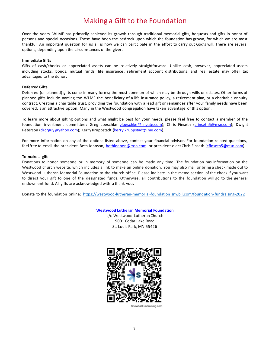# Making a Gift to the Foundation

Over the years, WLMF has primarily achieved its growth through traditional memorial gifts, bequests and gifts in honor of persons and special occasions. These have been the bedrock upon which the foundation has grown, for which we are most thankful. An important question for us all is how we can participate in the effort to carry out God's will. There are several options, depending upon the circumstances of the giver.

### **Immediate Gifts**

Gifts of cash/checks or appreciated assets can be relatively straightforward. Unlike cash, however, appreciated assets including stocks, bonds, mutual funds, life insurance, retirement account distributions, and real estate may offer tax advantages to the donor.

### **Deferred Gifts**

Deferred (or planned) gifts come in many forms; the most common of which may be through wills or estates. Other forms of planned gifts include naming the WLMF the beneficiary of a life insurance policy, a retirement plan, or a charitable annuity contract. Creating a charitable trust, providing the foundation with a lead gift or remainder after your family needs have been covered, is an attractive option. Many in the Westwood congregation have taken advantage of this option.

To learn more about gifting options and what might be best for your needs, please feel free to contact a member of the foundation investment committee: Greg Loeschke [gloeschke@lingate.com\)](mailto:gloeschke@lingate.com); Chris Finseth [\(cfinseth5@msn.com\)](mailto:cfinseth5@msn.com); Dwight Peterson [\(drcrguy@yahoo.com\)](mailto:drcrguy@yahoo.com); Kerry Kruppstadt [\(kerry.kruppstadt@me.com\).](mailto:kerry.kruppstadt@me.com)

For more information on any of the options listed above, contact your financial advisor. For foundation-related questions, feel free to email the president, Beth Johnson, [bethleeben@msn.com](mailto:bethleeben@msn.com) or president-elect Chris Finseth [\(cfinseth5@msn.com\)](mailto:cfinseth5@msn.com).

#### **To make a gift**

Donations to honor someone or in memory of someone can be made any time. The foundation has information on the Westwood church website, which includes a link to make an online donation. You may also mail or bring a check made out to Westwood Lutheran Memorial Foundation to the church office. Please indicate in the memo section of the check if you want to direct your gift to one of the designated funds. Otherwise, all contributions to the foundation will go to the general endowment fund. All gifts are acknowledged with a thank you.

Donate to the foundation online:<https://westwood-lutheran-memorial-foundation.snwbll.com/foundation-fundraising-2022>

**[Westwood Lutheran Memorial Foundation](https://www.westwood.church/foundation)**

c/o Westwood Lutheran Church 9001 Cedar Lake Road St. Louis Park, MN 55426



SnowballFundraising.com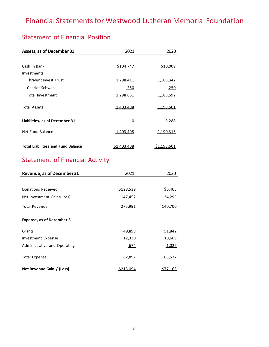# Financial Statements for Westwood Lutheran Memorial Foundation

# Statement of Financial Position

| Assets, as of December 31                 | 2021               | 2020        |
|-------------------------------------------|--------------------|-------------|
|                                           |                    |             |
| Cash in Bank                              | \$104,747          | \$10,009    |
| <b>Investments</b>                        |                    |             |
| Thrivent Invest Trust                     | 1,298,411          | 1,183,342   |
| Charles Schwab                            | 250                | 250         |
| Total Investment                          | 1,298,661          | 1,183,592   |
| <b>Total Assets</b>                       | <u>1.403.408</u>   | 1.193.601   |
| Liabilities, as of December 31            | 0                  | 3,288       |
| Net Fund Balance                          | 1,403,408          | 1,190,313   |
| <b>Total Liabilities and Fund Balance</b> | <u>\$1,403.408</u> | \$1.193.601 |

# Statement of Financial Activity

| Revenue, as of December 31   | 2021      | 2020    |
|------------------------------|-----------|---------|
|                              |           |         |
| Donations Received           | \$128,539 | \$6,405 |
| Net Investment Gain/(Loss)   | 147,452   | 134,295 |
| <b>Total Revenue</b>         | 275,991   | 140,700 |
| Expense, as of December 31   |           |         |
| Grants                       | 49,893    | 51,842  |
| Investment Expense           | 12,330    | 10,669  |
| Administrative and Operating | 674       | 1,026   |
| <b>Total Expense</b>         | 62,897    | 63,537  |
| Net Revenue Gain / (Loss)    | S213.094  | S77.163 |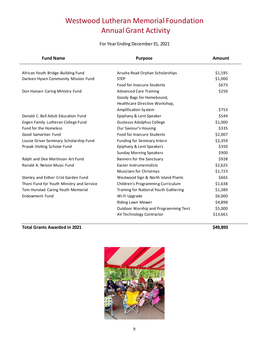# Westwood Lutheran Memorial Foundation Annual Grant Activity

### For Year Ending December 31, 2021

| <b>Fund Name</b>                          | <b>Purpose</b>                        | <b>Amount</b> |
|-------------------------------------------|---------------------------------------|---------------|
| African Youth Bridge-Building Fund        | Arusha Road Orphan Scholarships       | \$1,195       |
|                                           | <b>STEP</b>                           |               |
| Darleen Hysen Community Mission Fund      |                                       | \$1,000       |
|                                           | Food for Insecure Students            | \$673         |
| Don Hansen Caring Ministry Fund           | <b>Advanced Care Training</b>         | \$250         |
|                                           | Goody Bags for Homebound,             |               |
|                                           | Healthcare Directive Workshop,        |               |
|                                           | Amplification System                  | \$753         |
| Donald C. Bell Adult Education Fund       | Epiphany & Lent Speaker               | \$544         |
| Engen Family Lutheran College Fund        | <b>Gustavus Adolphus College</b>      | \$1,000       |
| <b>Fund for the Homeless</b>              | Our Saviour's Housing                 | \$335         |
| Good Samaritan Fund                       | Food for Insecure Students            | \$2,007       |
| Louise Griver Seminary Scholarship Fund   | Funding for Seminary Intern           | \$2,359       |
| Prazak Visiting Scholar Fund              | Epiphany & Lent Speakers              | \$350         |
|                                           | <b>Sunday Morning Speakers</b>        | \$900         |
| Ralph and Dee Martinson Art Fund          | Banners for the Sanctuary             | \$928         |
| Ronald A. Nelson Music Fund               | Easter Instrumentalists               | \$2,625       |
|                                           | <b>Musicians for Christmas</b>        | \$1,723       |
| Stanley and Esther Crist Garden Fund      | Westwood Sign & North Island Plants   | \$665         |
| Thoni Fund for Youth Ministry and Service | Children's Programming Curriculum     | \$1,638       |
| Tom Hunstad Caring Youth Memorial         | Training for National Youth Gathering | \$1,389       |
| Endowment Fund                            | Wi-Fi Upgrade                         | \$6,000       |
|                                           | <b>Riding Lawn Mower</b>              | \$4,898       |
|                                           | Outdoor Worship and Programming Tent  | \$5,000       |
|                                           | AV Technology Contractor              | \$13,661      |

### **Total Grants Awarded in 2021 \$49,893**

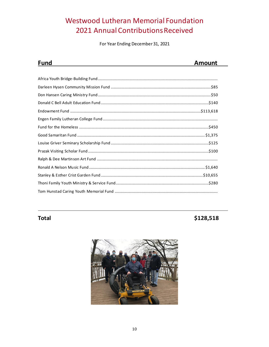# **Westwood Lutheran Memorial Foundation** 2021 Annual Contributions Received

For Year Ending December 31, 2021

| <b>Fund</b> | Amount |
|-------------|--------|
|             |        |

# **Total**

# \$128,518

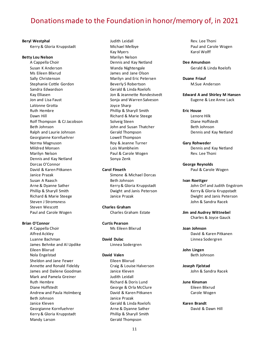# Donations made to the Foundation in honor/memory of, in 2021

#### **Beryl Westphal**

Kerry & Gloria Kruppstadt

#### **Betty Lou Nelson**

A Cappella Choir Susan K Anderson Ms Eileen Blixrud Sally Christenson Stephanie Cottle Gordon Sandra Edwardson Kay Elliasen Jon and Lisa Faust LaVonne Grotta Ruth Hembre Dawn Hill Rolf Thompson & CJ Jacobson Beth Johnson Ralph and Laurie Johnson Georgianne Kornfuehrer Norma Magnuson Mildred Monsen Marilyn Nelson Dennis and Kay Netland Dorcas O'Connor David & Karen Pitkanen Janice Prazak Susan A Raasch Arne & Dyanne Sather Phillip & Sharyll Smith Richard & Marie Steege Steven J Stromsness Steven Wescott Paul and Carole Wogen

### **Brian O'Connor**

A Cappella Choir Alfred Ackley Luanne Bachman James Behnke and Al Updike Eileen Blixrud Nola Engelstad Sheldon and Jane Fewer Annette and Ronald Fideldy James and Dailene Goodman Mark and Pamela Greiner Ruth Hembre Diane Hoffstedt Andrew and Paula Holmberg Beth Johnson Janice Kleven Georgianne Kornfuehrer Kerry & Gloria Kruppstadt Mandy Larson

Judith Leidall Michael Melbye Kay Myers Marilyn Nelson Dennis and Kay Netland Wanda Nightengale James and Jane Olson Marilyn and Eric Petersen Beverly S Robertson Gerald & Linda Roelofs Jon & Jeannette Rondestvedt Sonja and Warren Salveson Joyce Sharp Phillip & Sharyll Smith Richard & Marie Steege Solveig Steen John and Susan Thatcher Gerald Thompson Lowell Thompson Roy & Jeanne Turner Lois Wambheim Paul & Carole Wogen Sonya Zenk

#### **Carol Finseth**

Simone & Michael Dorcas Beth Johnson Kerry & Gloria Kruppstadt Dwight and Janis Peterson Janice Prazak

**Charles Graham** Charles Graham Estate

**Curtis Pearson** Ms Eileen Blixrud

**David Dulac** Linnea Sodergren

#### **David Valen**

Eileen Blixrud Craig & Louise Halverson Janice Kleven Judith Leidall Richard & Doris Lund George & Orla McClure David & Karen Pitkanen Janice Prazak Gerald & Linda Roelofs Arne & Dyanne Sather Phillip & Sharyll Smith Gerald Thompson

Rev. Lee Thoni Paul and Carole Wogen Karol Wolff

**Dee Amundson** Gerald & Linda Roelofs

**Duane Friauf** M.Sue Anderson

**Edward A and Shirley M Hansen** Eugene & Lee Anne Lack

#### **Eric House**

Lenore Hilk Diane Hoffstedt Beth Johnson Dennis and Kay Netland

#### **Gary Rohweder**

Dennis and Kay Netland Rev. Lee Thoni

**George Reynolds** Paul & Carole Wogen

#### **Ivan Roettger**

John Orf and Judith Engstrom Kerry & Gloria Kruppstadt Dwight and Janis Peterson John & Sandra Racek

**Jim and Audrey Wittnebel** Charles & Joyce Gauck

#### **Joan Johnson**

David & Karen Pitkanen Linnea Sodergren

**John Lingen**  Beth Johnson

**Joseph Fjelstad** John & Sandra Racek

**June Kinsman** Eileen Blixrud Carole Wogen

**Karen Brandt** David & Dawn Hill